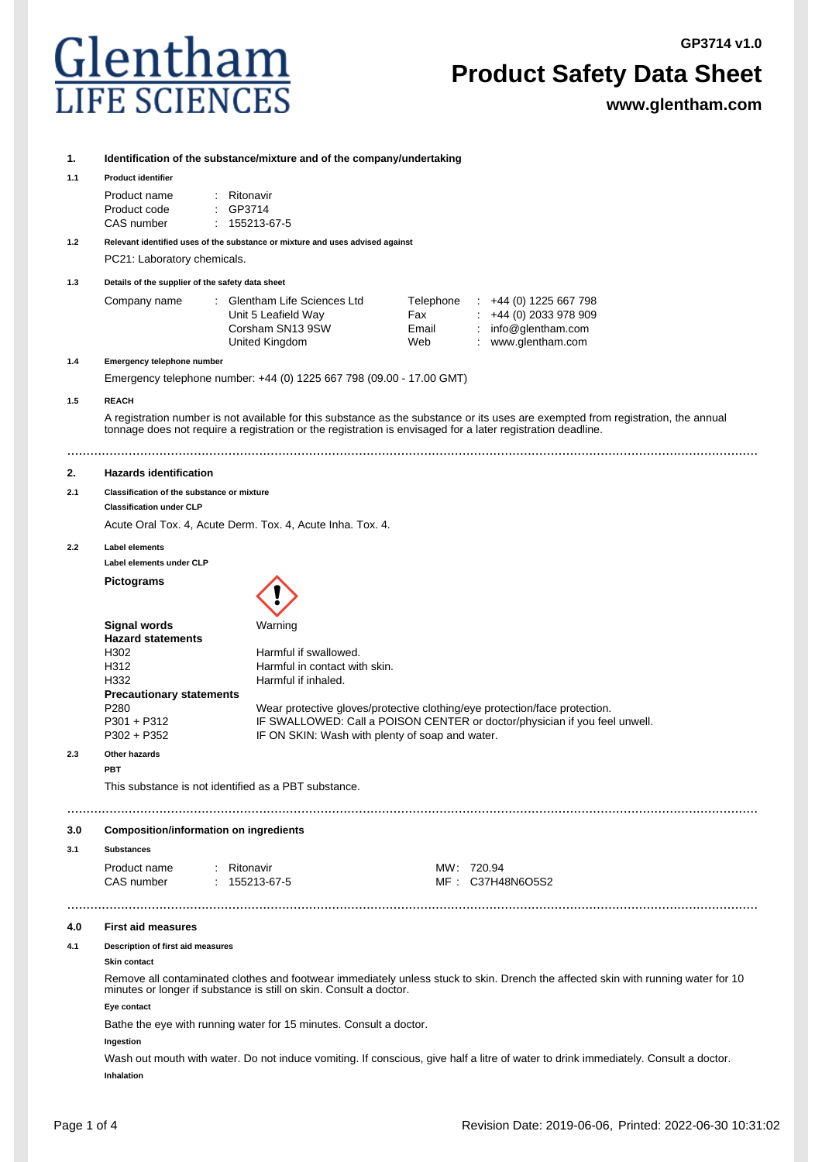## Glentham

## **Product Safety Data Sheet**

**www.glentham.com**

| 1.  |                                                                                                                                                                                                         |                                                                                                                                                          |              |                                                                                                                                     |  |  |
|-----|---------------------------------------------------------------------------------------------------------------------------------------------------------------------------------------------------------|----------------------------------------------------------------------------------------------------------------------------------------------------------|--------------|-------------------------------------------------------------------------------------------------------------------------------------|--|--|
| 1.1 | Identification of the substance/mixture and of the company/undertaking<br><b>Product identifier</b>                                                                                                     |                                                                                                                                                          |              |                                                                                                                                     |  |  |
|     | Product name                                                                                                                                                                                            | : Ritonavir                                                                                                                                              |              |                                                                                                                                     |  |  |
|     | Product code<br>CAS number                                                                                                                                                                              | GP3714<br>$: 155213-67-5$                                                                                                                                |              |                                                                                                                                     |  |  |
| 1.2 |                                                                                                                                                                                                         | Relevant identified uses of the substance or mixture and uses advised against                                                                            |              |                                                                                                                                     |  |  |
|     | PC21: Laboratory chemicals.                                                                                                                                                                             |                                                                                                                                                          |              |                                                                                                                                     |  |  |
| 1.3 | Details of the supplier of the safety data sheet                                                                                                                                                        |                                                                                                                                                          |              |                                                                                                                                     |  |  |
|     | Company name                                                                                                                                                                                            | : Glentham Life Sciences Ltd                                                                                                                             | Telephone    | $\div$ +44 (0) 1225 667 798                                                                                                         |  |  |
|     |                                                                                                                                                                                                         | Unit 5 Leafield Way<br>Corsham SN13 9SW                                                                                                                  | Fax<br>Email | $\div$ +44 (0) 2033 978 909<br>: info@glentham.com                                                                                  |  |  |
|     |                                                                                                                                                                                                         | United Kingdom                                                                                                                                           | Web          | : www.glentham.com                                                                                                                  |  |  |
| 1.4 | Emergency telephone number                                                                                                                                                                              |                                                                                                                                                          |              |                                                                                                                                     |  |  |
|     | Emergency telephone number: +44 (0) 1225 667 798 (09.00 - 17.00 GMT)                                                                                                                                    |                                                                                                                                                          |              |                                                                                                                                     |  |  |
| 1.5 | <b>REACH</b>                                                                                                                                                                                            |                                                                                                                                                          |              |                                                                                                                                     |  |  |
|     |                                                                                                                                                                                                         | tonnage does not require a registration or the registration is envisaged for a later registration deadline.                                              |              | A registration number is not available for this substance as the substance or its uses are exempted from registration, the annual   |  |  |
| 2.  | <b>Hazards identification</b>                                                                                                                                                                           |                                                                                                                                                          |              |                                                                                                                                     |  |  |
| 2.1 | Classification of the substance or mixture                                                                                                                                                              |                                                                                                                                                          |              |                                                                                                                                     |  |  |
|     | <b>Classification under CLP</b>                                                                                                                                                                         |                                                                                                                                                          |              |                                                                                                                                     |  |  |
|     | Acute Oral Tox. 4, Acute Derm. Tox. 4, Acute Inha. Tox. 4.                                                                                                                                              |                                                                                                                                                          |              |                                                                                                                                     |  |  |
| 2.2 | <b>Label elements</b>                                                                                                                                                                                   |                                                                                                                                                          |              |                                                                                                                                     |  |  |
|     | Label elements under CLP                                                                                                                                                                                |                                                                                                                                                          |              |                                                                                                                                     |  |  |
|     | <b>Pictograms</b>                                                                                                                                                                                       |                                                                                                                                                          |              |                                                                                                                                     |  |  |
|     | <b>Signal words</b><br><b>Hazard statements</b>                                                                                                                                                         | Warning                                                                                                                                                  |              |                                                                                                                                     |  |  |
|     | H302<br>H312                                                                                                                                                                                            | Harmful if swallowed.<br>Harmful in contact with skin.                                                                                                   |              |                                                                                                                                     |  |  |
|     | H332                                                                                                                                                                                                    | Harmful if inhaled.                                                                                                                                      |              |                                                                                                                                     |  |  |
|     | <b>Precautionary statements</b>                                                                                                                                                                         |                                                                                                                                                          |              |                                                                                                                                     |  |  |
|     | P <sub>280</sub>                                                                                                                                                                                        | Wear protective gloves/protective clothing/eye protection/face protection.<br>IF SWALLOWED: Call a POISON CENTER or doctor/physician if you feel unwell. |              |                                                                                                                                     |  |  |
|     | $P301 + P312$<br>$P302 + P352$                                                                                                                                                                          | IF ON SKIN: Wash with plenty of soap and water.                                                                                                          |              |                                                                                                                                     |  |  |
| 2.3 | Other hazards<br><b>PBT</b>                                                                                                                                                                             |                                                                                                                                                          |              |                                                                                                                                     |  |  |
|     | This substance is not identified as a PBT substance.                                                                                                                                                    |                                                                                                                                                          |              |                                                                                                                                     |  |  |
|     |                                                                                                                                                                                                         |                                                                                                                                                          |              |                                                                                                                                     |  |  |
| 3.0 | <b>Composition/information on ingredients</b>                                                                                                                                                           |                                                                                                                                                          |              |                                                                                                                                     |  |  |
| 3.1 | <b>Substances</b>                                                                                                                                                                                       |                                                                                                                                                          |              |                                                                                                                                     |  |  |
|     | Product name<br>CAS number                                                                                                                                                                              | : Ritonavir<br>$: 155213-67-5$                                                                                                                           |              | MW: 720.94<br>MF: C37H48N6O5S2                                                                                                      |  |  |
|     |                                                                                                                                                                                                         |                                                                                                                                                          |              |                                                                                                                                     |  |  |
| 4.0 | <b>First aid measures</b>                                                                                                                                                                               |                                                                                                                                                          |              |                                                                                                                                     |  |  |
| 4.1 | Description of first aid measures<br><b>Skin contact</b>                                                                                                                                                |                                                                                                                                                          |              |                                                                                                                                     |  |  |
|     | Remove all contaminated clothes and footwear immediately unless stuck to skin. Drench the affected skin with running water for 10<br>minutes or longer if substance is still on skin. Consult a doctor. |                                                                                                                                                          |              |                                                                                                                                     |  |  |
|     | Eye contact                                                                                                                                                                                             |                                                                                                                                                          |              |                                                                                                                                     |  |  |
|     |                                                                                                                                                                                                         | Bathe the eye with running water for 15 minutes. Consult a doctor.                                                                                       |              |                                                                                                                                     |  |  |
|     | Ingestion                                                                                                                                                                                               |                                                                                                                                                          |              |                                                                                                                                     |  |  |
|     |                                                                                                                                                                                                         |                                                                                                                                                          |              | Wash out mouth with water. Do not induce vomiting. If conscious, give half a litre of water to drink immediately. Consult a doctor. |  |  |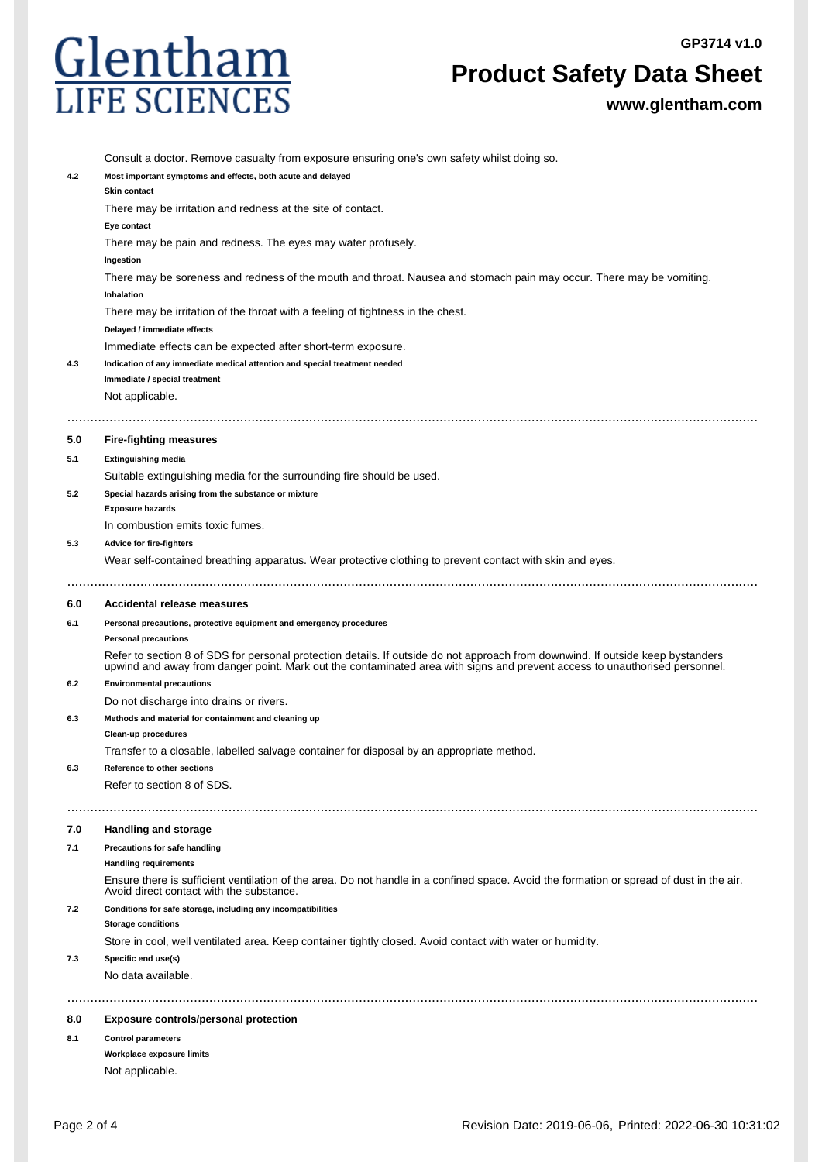

## **Product Safety Data Sheet**

**www.glentham.com**

|     | Consult a doctor. Remove casualty from exposure ensuring one's own safety whilst doing so.                                                                                                                                                                    |
|-----|---------------------------------------------------------------------------------------------------------------------------------------------------------------------------------------------------------------------------------------------------------------|
| 4.2 | Most important symptoms and effects, both acute and delayed                                                                                                                                                                                                   |
|     | Skin contact                                                                                                                                                                                                                                                  |
|     | There may be irritation and redness at the site of contact.                                                                                                                                                                                                   |
|     | Eye contact                                                                                                                                                                                                                                                   |
|     | There may be pain and redness. The eyes may water profusely.                                                                                                                                                                                                  |
|     | Ingestion                                                                                                                                                                                                                                                     |
|     | There may be soreness and redness of the mouth and throat. Nausea and stomach pain may occur. There may be vomiting.                                                                                                                                          |
|     | Inhalation                                                                                                                                                                                                                                                    |
|     | There may be irritation of the throat with a feeling of tightness in the chest.                                                                                                                                                                               |
|     | Delayed / immediate effects                                                                                                                                                                                                                                   |
|     | Immediate effects can be expected after short-term exposure.                                                                                                                                                                                                  |
| 4.3 | Indication of any immediate medical attention and special treatment needed                                                                                                                                                                                    |
|     | Immediate / special treatment                                                                                                                                                                                                                                 |
|     | Not applicable.                                                                                                                                                                                                                                               |
|     |                                                                                                                                                                                                                                                               |
| 5.0 | <b>Fire-fighting measures</b>                                                                                                                                                                                                                                 |
| 5.1 | <b>Extinguishing media</b>                                                                                                                                                                                                                                    |
|     | Suitable extinguishing media for the surrounding fire should be used.                                                                                                                                                                                         |
| 5.2 | Special hazards arising from the substance or mixture                                                                                                                                                                                                         |
|     | <b>Exposure hazards</b>                                                                                                                                                                                                                                       |
|     | In combustion emits toxic fumes.                                                                                                                                                                                                                              |
| 5.3 | <b>Advice for fire-fighters</b>                                                                                                                                                                                                                               |
|     | Wear self-contained breathing apparatus. Wear protective clothing to prevent contact with skin and eyes.                                                                                                                                                      |
|     |                                                                                                                                                                                                                                                               |
|     |                                                                                                                                                                                                                                                               |
| 6.0 | Accidental release measures                                                                                                                                                                                                                                   |
|     |                                                                                                                                                                                                                                                               |
| 6.1 | Personal precautions, protective equipment and emergency procedures                                                                                                                                                                                           |
|     | <b>Personal precautions</b>                                                                                                                                                                                                                                   |
|     | Refer to section 8 of SDS for personal protection details. If outside do not approach from downwind. If outside keep bystanders<br>upwind and away from danger point. Mark out the contaminated area with signs and prevent access to unauthorised personnel. |
| 6.2 | <b>Environmental precautions</b>                                                                                                                                                                                                                              |
|     | Do not discharge into drains or rivers.                                                                                                                                                                                                                       |
| 6.3 | Methods and material for containment and cleaning up                                                                                                                                                                                                          |
|     | Clean-up procedures                                                                                                                                                                                                                                           |
|     | Transfer to a closable, labelled salvage container for disposal by an appropriate method.                                                                                                                                                                     |
| 6.3 | Reference to other sections                                                                                                                                                                                                                                   |
|     | Refer to section 8 of SDS.                                                                                                                                                                                                                                    |
|     |                                                                                                                                                                                                                                                               |
|     |                                                                                                                                                                                                                                                               |
| 7.0 | <b>Handling and storage</b>                                                                                                                                                                                                                                   |
| 7.1 | Precautions for safe handling                                                                                                                                                                                                                                 |
|     | <b>Handling requirements</b>                                                                                                                                                                                                                                  |
|     | Ensure there is sufficient ventilation of the area. Do not handle in a confined space. Avoid the formation or spread of dust in the air.<br>Avoid direct contact with the substance.                                                                          |
| 7.2 | Conditions for safe storage, including any incompatibilities                                                                                                                                                                                                  |
|     | <b>Storage conditions</b>                                                                                                                                                                                                                                     |
|     | Store in cool, well ventilated area. Keep container tightly closed. Avoid contact with water or humidity.                                                                                                                                                     |
| 7.3 | Specific end use(s)                                                                                                                                                                                                                                           |
|     | No data available.                                                                                                                                                                                                                                            |
|     |                                                                                                                                                                                                                                                               |
| 8.0 | <b>Exposure controls/personal protection</b>                                                                                                                                                                                                                  |
|     |                                                                                                                                                                                                                                                               |
| 8.1 | <b>Control parameters</b><br>Workplace exposure limits                                                                                                                                                                                                        |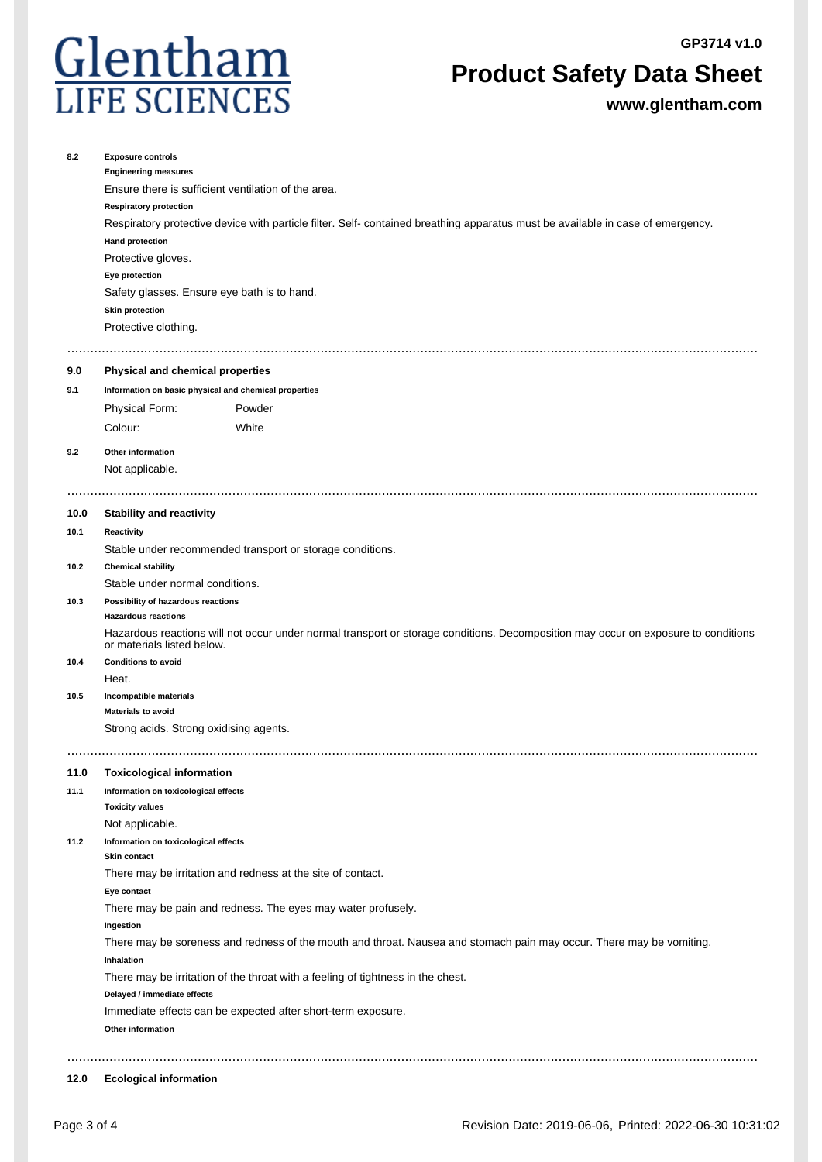

## **Product Safety Data Sheet**

**www.glentham.com**

| 8.2  | <b>Exposure controls</b><br><b>Engineering measures</b><br>Ensure there is sufficient ventilation of the area.<br><b>Respiratory protection</b><br>Respiratory protective device with particle filter. Self- contained breathing apparatus must be available in case of emergency.<br><b>Hand protection</b><br>Protective gloves. |                                                              |  |  |  |  |
|------|------------------------------------------------------------------------------------------------------------------------------------------------------------------------------------------------------------------------------------------------------------------------------------------------------------------------------------|--------------------------------------------------------------|--|--|--|--|
|      |                                                                                                                                                                                                                                                                                                                                    |                                                              |  |  |  |  |
|      |                                                                                                                                                                                                                                                                                                                                    |                                                              |  |  |  |  |
|      | Eye protection<br>Safety glasses. Ensure eye bath is to hand.                                                                                                                                                                                                                                                                      |                                                              |  |  |  |  |
|      |                                                                                                                                                                                                                                                                                                                                    |                                                              |  |  |  |  |
|      | <b>Skin protection</b>                                                                                                                                                                                                                                                                                                             |                                                              |  |  |  |  |
|      | Protective clothing.                                                                                                                                                                                                                                                                                                               |                                                              |  |  |  |  |
| 9.0  | Physical and chemical properties                                                                                                                                                                                                                                                                                                   |                                                              |  |  |  |  |
| 9.1  | Information on basic physical and chemical properties                                                                                                                                                                                                                                                                              |                                                              |  |  |  |  |
|      | Physical Form:                                                                                                                                                                                                                                                                                                                     | Powder                                                       |  |  |  |  |
|      | Colour:                                                                                                                                                                                                                                                                                                                            | White                                                        |  |  |  |  |
| 9.2  | Other information                                                                                                                                                                                                                                                                                                                  |                                                              |  |  |  |  |
|      | Not applicable.                                                                                                                                                                                                                                                                                                                    |                                                              |  |  |  |  |
|      |                                                                                                                                                                                                                                                                                                                                    |                                                              |  |  |  |  |
| 10.0 | <b>Stability and reactivity</b>                                                                                                                                                                                                                                                                                                    |                                                              |  |  |  |  |
| 10.1 | Reactivity                                                                                                                                                                                                                                                                                                                         |                                                              |  |  |  |  |
|      | Stable under recommended transport or storage conditions.                                                                                                                                                                                                                                                                          |                                                              |  |  |  |  |
| 10.2 | <b>Chemical stability</b>                                                                                                                                                                                                                                                                                                          |                                                              |  |  |  |  |
|      | Stable under normal conditions.                                                                                                                                                                                                                                                                                                    |                                                              |  |  |  |  |
| 10.3 |                                                                                                                                                                                                                                                                                                                                    | Possibility of hazardous reactions                           |  |  |  |  |
|      | <b>Hazardous reactions</b>                                                                                                                                                                                                                                                                                                         |                                                              |  |  |  |  |
|      | Hazardous reactions will not occur under normal transport or storage conditions. Decomposition may occur on exposure to conditions<br>or materials listed below.                                                                                                                                                                   |                                                              |  |  |  |  |
| 10.4 | <b>Conditions to avoid</b>                                                                                                                                                                                                                                                                                                         |                                                              |  |  |  |  |
|      | Heat.<br>Incompatible materials                                                                                                                                                                                                                                                                                                    |                                                              |  |  |  |  |
| 10.5 | <b>Materials to avoid</b>                                                                                                                                                                                                                                                                                                          |                                                              |  |  |  |  |
|      | Strong acids. Strong oxidising agents.                                                                                                                                                                                                                                                                                             |                                                              |  |  |  |  |
|      |                                                                                                                                                                                                                                                                                                                                    |                                                              |  |  |  |  |
| 11.0 | <b>Toxicological information</b>                                                                                                                                                                                                                                                                                                   |                                                              |  |  |  |  |
| 11.1 | Information on toxicological effects                                                                                                                                                                                                                                                                                               |                                                              |  |  |  |  |
|      | <b>Toxicity values</b>                                                                                                                                                                                                                                                                                                             |                                                              |  |  |  |  |
|      | Not applicable.                                                                                                                                                                                                                                                                                                                    |                                                              |  |  |  |  |
| 11.2 | Information on toxicological effects                                                                                                                                                                                                                                                                                               |                                                              |  |  |  |  |
|      | <b>Skin contact</b>                                                                                                                                                                                                                                                                                                                | There may be irritation and redness at the site of contact.  |  |  |  |  |
|      | Eye contact                                                                                                                                                                                                                                                                                                                        |                                                              |  |  |  |  |
|      |                                                                                                                                                                                                                                                                                                                                    | There may be pain and redness. The eyes may water profusely. |  |  |  |  |
|      | Ingestion                                                                                                                                                                                                                                                                                                                          |                                                              |  |  |  |  |
|      | There may be soreness and redness of the mouth and throat. Nausea and stomach pain may occur. There may be vomiting.<br>Inhalation                                                                                                                                                                                                 |                                                              |  |  |  |  |
|      | There may be irritation of the throat with a feeling of tightness in the chest.                                                                                                                                                                                                                                                    |                                                              |  |  |  |  |
|      | Delayed / immediate effects                                                                                                                                                                                                                                                                                                        |                                                              |  |  |  |  |
|      | Immediate effects can be expected after short-term exposure.                                                                                                                                                                                                                                                                       |                                                              |  |  |  |  |
|      | Other information                                                                                                                                                                                                                                                                                                                  |                                                              |  |  |  |  |
|      |                                                                                                                                                                                                                                                                                                                                    |                                                              |  |  |  |  |

#### **12.0 Ecological information**